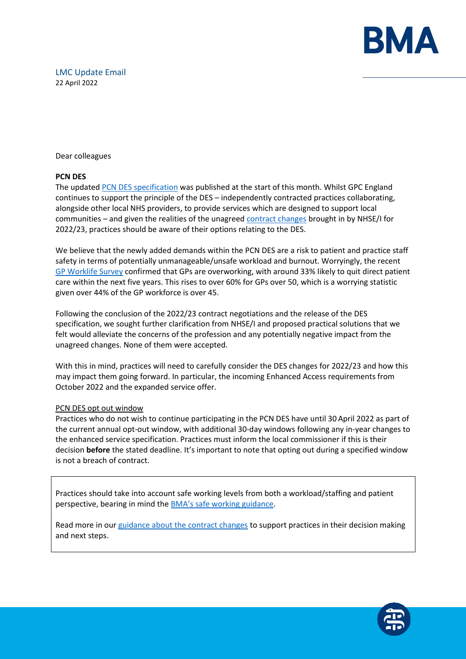

Dear colleagues

# **PCN DES**

The updated [PCN DES specification](https://www.england.nhs.uk/gp/investment/gp-contract/network-contract-directed-enhanced-service-des/) was published at the start of this month. Whilst GPC England continues to support the principle of the DES – independently contracted practices collaborating, alongside other local NHS providers, to provide services which are designed to support local communities – and given the realities of the unagreed [contract changes](https://www.bma.org.uk/pay-and-contracts/contracts/gp-contract/gp-contract-changes-england-202223) brought in by NHSE/I for 2022/23, practices should be aware of their options relating to the DES.

We believe that the newly added demands within the PCN DES are a risk to patient and practice staff safety in terms of potentially unmanageable/unsafe workload and burnout. Worryingly, the recent [GP Worklife Survey](https://www.bma.org.uk/bma-media-centre/government-must-take-action-to-prevent-mass-exodus-of-gps-bma-says-in-response-to-the-eleventh-gp-worklife-survey) confirmed that GPs are overworking, with around 33% likely to quit direct patient care within the next five years. This rises to over 60% for GPs over 50, which is a worrying statistic given over 44% of the GP workforce is over 45.

Following the conclusion of the 2022/23 contract negotiations and the release of the DES specification, we sought further clarification from NHSE/I and proposed practical solutions that we felt would alleviate the concerns of the profession and any potentially negative impact from the unagreed changes. None of them were accepted.

With this in mind, practices will need to carefully consider the DES changes for 2022/23 and how this may impact them going forward. In particular, the incoming Enhanced Access requirements from October 2022 and the expanded service offer.

# PCN DES opt out window

Practices who do not wish to continue participating in the PCN DES have until 30 April 2022 as part of the current annual opt-out window, with additional 30-day windows following any in-year changes to the enhanced service specification. Practices must inform the local commissioner if this is their decision **before** the stated deadline. It's important to note that opting out during a specified window is not a breach of contract.

Practices should take into account safe working levels from both a workload/staffing and patient perspective, bearing in mind the [BMA's safe working guidance](https://www.bma.org.uk/advice-and-support/gp-practices/managing-workload/safe-working-in-general-practice).

Read more in our [guidance about the contract changes](https://www.bma.org.uk/pay-and-contracts/contracts/gp-contract/gp-contract-changes-england-202223) to support practices in their decision making and next steps.

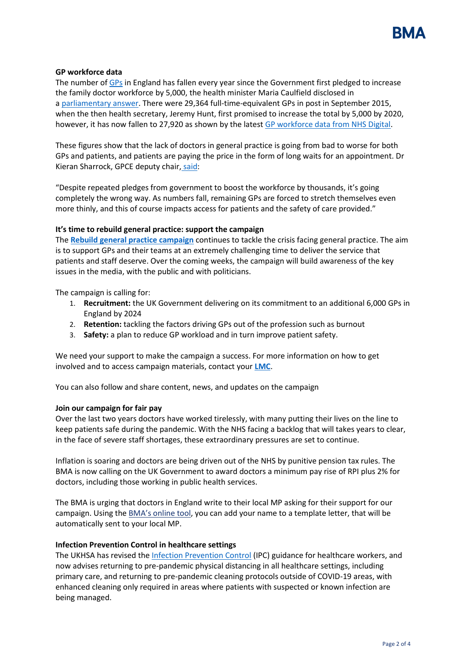

# **GP workforce data**

The number of [GPs](https://www.theguardian.com/society/gps) in England has fallen every year since the Government first pledged to increase the family doctor workforce by 5,000, the health minister Maria Caulfield disclosed in a [parliamentary answer.](https://questions-statements.parliament.uk/written-questions/detail/2022-03-22/144878) There were 29,364 full-time-equivalent GPs in post in September 2015, when the then health secretary, Jeremy Hunt, first promised to increase the total by 5,000 by 2020, however, it has now fallen to 27,920 as shown by the lates[t GP workforce data from NHS Digital.](https://digital.nhs.uk/data-and-information/publications/statistical/general-and-personal-medical-services/28-february-2022)

These figures show that the lack of doctors in general practice is going from bad to worse for both GPs and patients, and patients are paying the price in the form of long waits for an appointment. Dr Kieran Sharrock, GPCE deputy chair, [said:](https://www.theguardian.com/society/2022/apr/11/gp-numbers-in-england-down-every-year-since-2015-pledge-to-raise-them)

"Despite repeated pledges from government to boost the workforce by thousands, it's going completely the wrong way. As numbers fall, remaining GPs are forced to stretch themselves even more thinly, and this of course impacts access for patients and the safety of care provided."

# **It's time to rebuild general practice: support the campaign**

The **[Rebuild general practice campaign](https://protect-eu.mimecast.com/s/Q8U5CX5WWfXNzVMh6p6wUn?domain=bma-mail.org.uk)** continues to tackle the crisis facing general practice. The aim is to support GPs and their teams at an extremely challenging time to deliver the service that patients and staff deserve. Over the coming weeks, the campaign will build awareness of the key issues in the media, with the public and with politicians.

The campaign is calling for:

- 1. **Recruitment:** the UK Government delivering on its commitment to an additional 6,000 GPs in England by 2024
- 2. **Retention:** tackling the factors driving GPs out of the profession such as burnout
- 3. **Safety:** a plan to reduce GP workload and in turn improve patient safety.

We need your support to make the campaign a success. For more information on how to get involved and to access campaign materials, contact your **[LMC](https://protect-eu.mimecast.com/s/R5bfC2WMMcpG9PETnJrPn9?domain=bma-mail.org.uk)**.

You can also follow and share content, news, and updates on the campaign

### **Join our campaign for fair pay**

Over the last two years doctors have worked tirelessly, with many putting their lives on the line to keep patients safe during the pandemic. With the NHS facing a backlog that will takes years to clear, in the face of severe staff shortages, these extraordinary pressures are set to continue.

Inflation is soaring and doctors are being driven out of the NHS by punitive pension tax rules. The BMA is now calling on the UK Government to award doctors a minimum pay rise of RPI plus 2% for doctors, including those working in public health services.

The BMA is urging that doctors in England write to their local MP asking for their support for our campaign. Using the **[BMA's onlin](https://e-activist.com/page/103703/action/1?ea.tracking.id=NewsletterS)e tool**, you can add your name to a template letter, that will be automatically sent to your local MP.

### **Infection Prevention Control in healthcare settings**

The UKHSA has revised th[e Infection Prevention Control](https://www.gov.uk/government/publications/wuhan-novel-coronavirus-infection-prevention-and-control) (IPC) guidance for healthcare workers, and now advises returning to pre-pandemic physical distancing in all healthcare settings, including primary care, and returning to pre-pandemic cleaning protocols outside of COVID-19 areas, with enhanced cleaning only required in areas where patients with suspected or known infection are being managed.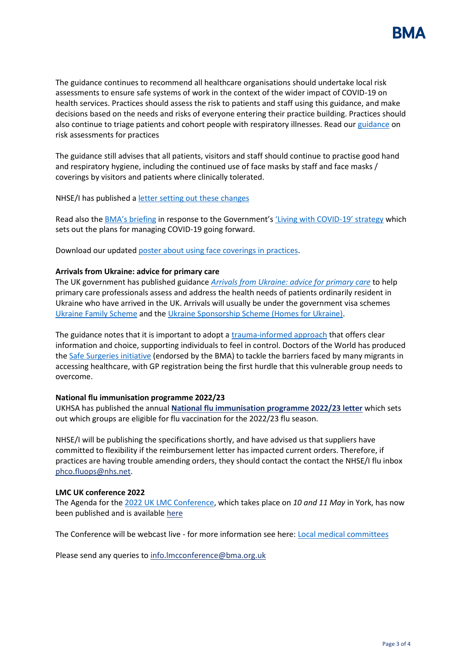

The guidance continues to recommend all healthcare organisations should undertake local risk assessments to ensure safe systems of work in the context of the wider impact of COVID-19 on health services. Practices should assess the risk to patients and staff using this guidance, and make decisions based on the needs and risks of everyone entering their practice building. Practices should also continue to triage patients and cohort people with respiratory illnesses. Read our [guidance](https://i.emlfiles4.com/cmpdoc/3/7/7/5/2/files/868663_ppe-risk-assessment-final.pdf?utm_source=The%20British%20Medical%20Association&utm_medium=email&utm_campaign=12917145_GP%20ENEWSLETTER%2013012022&dm_t=0,0,0,0,0) on risk assessments for practices

The guidance still advises that all patients, visitors and staff should continue to practise good hand and respiratory hygiene, including the continued use of face masks by staff and face masks / coverings by visitors and patients where clinically tolerated.

NHSE/I has published [a letter setting out these changes](https://www.england.nhs.uk/publication/national-infection-prevention-and-control/)

Read also the [BMA's briefing](https://www.bma.org.uk/advice-and-support/covid-19/what-the-bma-is-doing/bma-briefing-living-with-covid-19-response) in response to the Government'[s 'Living with COVID](https://assets.publishing.service.gov.uk/government/uploads/system/uploads/attachment_data/file/1056229/COVID-19_Response_-_Living_with_COVID-19.pdf)-19' strategy which sets out the plans for managing COVID-19 going forward.

Download our updated [poster about using face coverings in practices.](https://www.bma.org.uk/media/5321/bma-visiting-your-gp-poster-mar2022.pdf)

### **Arrivals from Ukraine: advice for primary care**

The UK government has published guidance *[Arrivals from Ukraine: advice for primary care](https://www.gov.uk/government/publications/arrivals-from-ukraine-advice-for-primary-care/arrivals-from-ukraine-advice-for-primary-care)* to help primary care professionals assess and address the health needs of patients ordinarily resident in Ukraine who have arrived in the UK. Arrivals will usually be under the government visa schemes [Ukraine Family Scheme](https://www.gov.uk/guidance/apply-for-a-ukraine-family-scheme-visa) and th[e Ukraine Sponsorship Scheme \(Homes for Ukraine\).](https://www.gov.uk/guidance/apply-for-a-visa-under-the-ukraine-sponsorship-scheme)

The guidance notes that it is important to adopt a [trauma-informed approach](https://www.gov.uk/guidance/assessing-new-patients-from-overseas-migrant-health-guide#trauma-informed-practice) that offers clear information and choice, supporting individuals to feel in control. Doctors of the World has produced the [Safe Surgeries initiative](https://www.doctorsoftheworld.org.uk/what-we-stand-for/supporting-medics/safe-surgeries-initiative/) (endorsed by the BMA) to tackle the barriers faced by many migrants in accessing healthcare, with GP registration being the first hurdle that this vulnerable group needs to overcome.

### **National flu immunisation programme 2022/23**

UKHSA has published the annual **[National flu immunisation programme 2022/23 letter](https://protect-eu.mimecast.com/s/ASfjCp211tnJrvnTDnhBr?domain=gov.uk)** which sets out which groups are eligible for flu vaccination for the 2022/23 flu season.

NHSE/I will be publishing the specifications shortly, and have advised us that suppliers have committed to flexibility if the reimbursement letter has impacted current orders. Therefore, if practices are having trouble amending orders, they should contact the contact the NHSE/I flu inbox [phco.fluops@nhs.net.](mailto:phco.fluops@nhs.net)

# **LMC UK conference 2022**

The Agenda for the [2022 UK LMC Conference,](https://www.bma.org.uk/what-we-do/local-medical-committees) which takes place on *10 and 11 May* in York, has now been published and is available [here](https://www.bma.org.uk/media/5564/uk-lmc-conference-agenda-22-april-2022-final.pdf)

The Conference will be webcast live - for more information see here: [Local medical committees](https://www.bma.org.uk/what-we-do/local-medical-committees)

Please send any queries to [info.lmcconference@bma.org.uk](mailto:info.lmcconference@bma.org.uk)